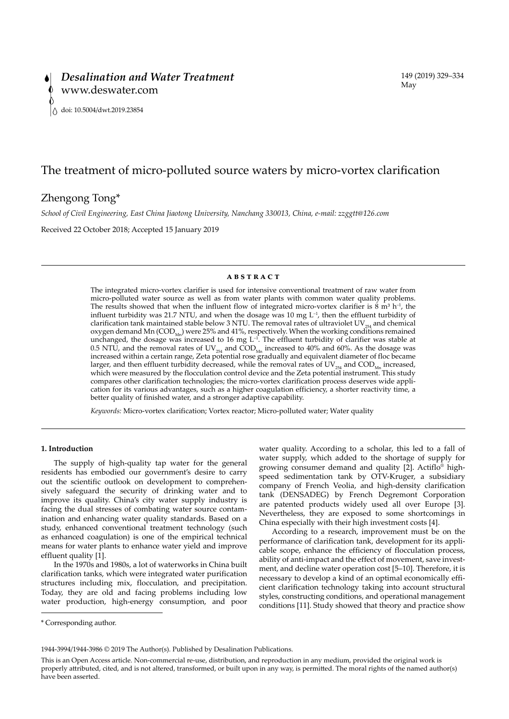# The treatment of micro-polluted source waters by micro-vortex clarification

## Zhengong Tong\*

*School of Civil Engineering, East China Jiaotong University, Nanchang 330013, China, e-mail: zzggtt@126.com*

Received 22 October 2018; Accepted 15 January 2019

## **ABSTRACT**

The integrated micro-vortex clarifier is used for intensive conventional treatment of raw water from micro-polluted water source as well as from water plants with common water quality problems. The results showed that when the influent flow of integrated micro-vortex clarifier is  $\dot{8}$  m<sup>3</sup> h<sup>-1</sup>, the influent turbidity was 21.7 NTU, and when the dosage was 10 mg L<sup>-1</sup>, then the effluent turbidity of clarification tank maintained stable below 3 NTU. The removal rates of ultraviolet  $UV_{25}$  and chemical oxygen demand Mn (COD<sub>Mn</sub>) were 25% and 41%, respectively. When the working conditions remained<br>unchanged, the dosage was increased to 16 mg L<sup>-1</sup>. The effluent turbidity of clarifier was stable at 0.5 NTU, and the removal rates of  $UV_{254}$  and  $\text{COD}_{\text{Mn}}$  increased to 40% and 60%. As the dosage was increased within a certain range, Zeta potential rose gradually and equivalent diameter of floc became larger, and then effluent turbidity decreased, while the removal rates of  $UV_{254}$  and COD<sub>Mn</sub> increased, which were measured by the flocculation control device and the Zeta potential instrument. This study compares other clarification technologies; the micro-vortex clarification process deserves wide application for its various advantages, such as a higher coagulation efficiency, a shorter reactivity time, a better quality of finished water, and a stronger adaptive capability.

*Keywords:* Micro-vortex clarification; Vortex reactor; Micro-polluted water; Water quality

## **1. Introduction**

The supply of high-quality tap water for the general residents has embodied our government's desire to carry out the scientific outlook on development to comprehensively safeguard the security of drinking water and to improve its quality. China's city water supply industry is facing the dual stresses of combating water source contamination and enhancing water quality standards. Based on a study, enhanced conventional treatment technology (such as enhanced coagulation) is one of the empirical technical means for water plants to enhance water yield and improve effluent quality [1].

In the 1970s and 1980s, a lot of waterworks in China built clarification tanks, which were integrated water purification structures including mix, flocculation, and precipitation. Today, they are old and facing problems including low water production, high-energy consumption, and poor water quality. According to a scholar, this led to a fall of water supply, which added to the shortage of supply for growing consumer demand and quality [2]. Actiflo® highspeed sedimentation tank by OTV-Kruger, a subsidiary company of French Veolia, and high-density clarification tank (DENSADEG) by French Degremont Corporation are patented products widely used all over Europe [3]. Nevertheless, they are exposed to some shortcomings in China especially with their high investment costs [4].

According to a research, improvement must be on the performance of clarification tank, development for its applicable scope, enhance the efficiency of flocculation process, ability of anti-impact and the effect of movement, save investment, and decline water operation cost [5–10]. Therefore, it is necessary to develop a kind of an optimal economically efficient clarification technology taking into account structural styles, constructing conditions, and operational management conditions [11]. Study showed that theory and practice show

1944-3994/1944-3986 © 2019 The Author(s). Published by Desalination Publications.

<sup>\*</sup> Corresponding author.

This is an Open Access article. Non-commercial re-use, distribution, and reproduction in any medium, provided the original work is properly attributed, cited, and is not altered, transformed, or built upon in any way, is permitted. The moral rights of the named author(s) have been asserted.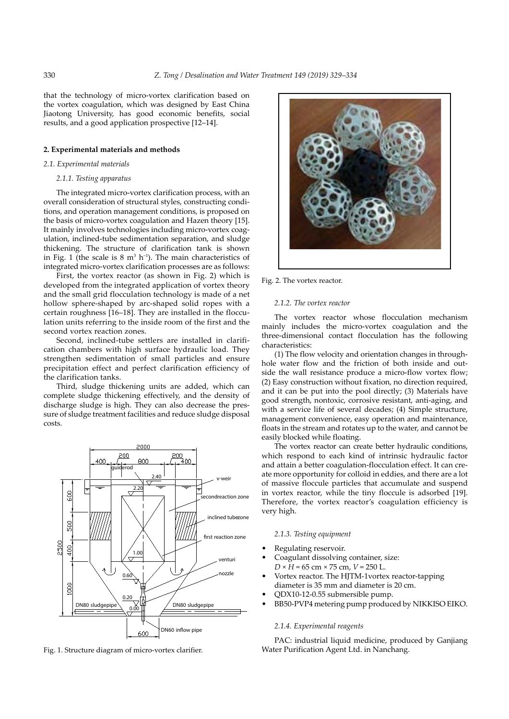that the technology of micro-vortex clarification based on the vortex coagulation, which was designed by East China Jiaotong University, has good economic benefits, social results, and a good application prospective [12–14].

## **2. Experimental materials and methods**

## *2.1. Experimental materials*

#### *2.1.1. Testing apparatus*

The integrated micro-vortex clarification process, with an overall consideration of structural styles, constructing conditions, and operation management conditions, is proposed on the basis of micro-vortex coagulation and Hazen theory [15]. It mainly involves technologies including micro-vortex coagulation, inclined-tube sedimentation separation, and sludge thickening. The structure of clarification tank is shown in Fig. 1 (the scale is  $8 \text{ m}^3$  h<sup>-1</sup>). The main characteristics of integrated micro-vortex clarification processes are as follows:

First, the vortex reactor (as shown in Fig. 2) which is developed from the integrated application of vortex theory and the small grid flocculation technology is made of a net hollow sphere-shaped by arc-shaped solid ropes with a certain roughness [16–18]. They are installed in the flocculation units referring to the inside room of the first and the second vortex reaction zones.

Second, inclined-tube settlers are installed in clarification chambers with high surface hydraulic load. They strengthen sedimentation of small particles and ensure precipitation effect and perfect clarification efficiency of the clarification tanks.

Third, sludge thickening units are added, which can complete sludge thickening effectively, and the density of discharge sludge is high. They can also decrease the pressure of sludge treatment facilities and reduce sludge disposal costs.



Fig. 1. Structure diagram of micro-vortex clarifier.



Fig. 2. The vortex reactor.

## *2.1.2. The vortex reactor*

The vortex reactor whose flocculation mechanism mainly includes the micro-vortex coagulation and the three-dimensional contact flocculation has the following characteristics:

(1) The flow velocity and orientation changes in throughhole water flow and the friction of both inside and outside the wall resistance produce a micro-flow vortex flow; (2) Easy construction without fixation, no direction required, and it can be put into the pool directly; (3) Materials have good strength, nontoxic, corrosive resistant, anti-aging, and with a service life of several decades; (4) Simple structure, management convenience, easy operation and maintenance, floats in the stream and rotates up to the water, and cannot be easily blocked while floating.

The vortex reactor can create better hydraulic conditions, which respond to each kind of intrinsic hydraulic factor and attain a better coagulation-flocculation effect. It can create more opportunity for colloid in eddies, and there are a lot of massive floccule particles that accumulate and suspend in vortex reactor, while the tiny floccule is adsorbed [19]. Therefore, the vortex reactor's coagulation efficiency is very high.

#### *2.1.3. Testing equipment*

- Regulating reservoir.
- Coagulant dissolving container, size: *D* × *H* = 65 cm × 75 cm, *V* = 250 L.
- Vortex reactor. The HJTM-1vortex reactor-tapping diameter is 35 mm and diameter is 20 cm.
- QDX10-12-0.55 submersible pump.
- BB50-PVP4 metering pump produced by NIKKISO EIKO.

#### *2.1.4. Experimental reagents*

PAC: industrial liquid medicine, produced by Ganjiang Water Purification Agent Ltd. in Nanchang.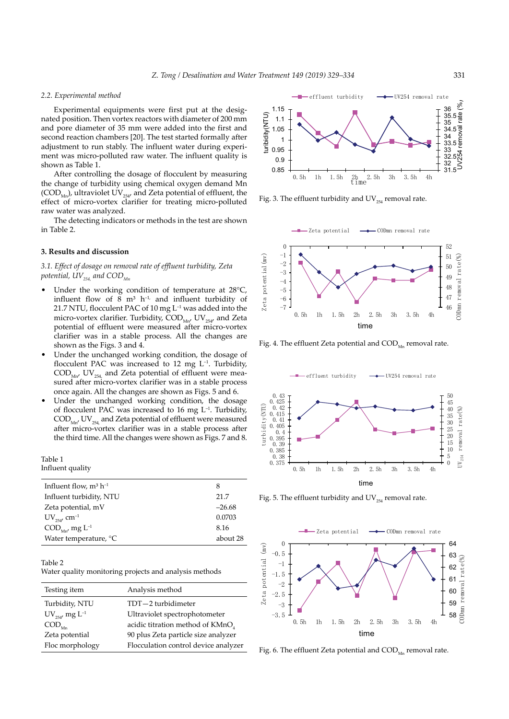### *2.2. Experimental method*

Experimental equipments were first put at the designated position. Then vortex reactors with diameter of 200 mm and pore diameter of 35 mm were added into the first and second reaction chambers [20]. The test started formally after adjustment to run stably. The influent water during experiment was micro-polluted raw water. The influent quality is shown as Table 1.

After controlling the dosage of flocculent by measuring the change of turbidity using chemical oxygen demand Mn  $(COD<sub>MD</sub>)$ , ultraviolet UV<sub>254</sub>, and Zeta potential of effluent, the effect of micro-vortex clarifier for treating micro-polluted raw water was analyzed.

The detecting indicators or methods in the test are shown in Table 2.

## **3. Results and discussion**

*3.1. Effect of dosage on removal rate of effluent turbidity, Zeta*  potential,  $UV_{254}$  and  $COD_{Mn}$ 

- Under the working condition of temperature at 28°C, influent flow of 8  $m^3$  h<sup>-1,</sup> and influent turbidity of 21.7 NTU, flocculent PAC of 10 mg  $L^{-1}$  was added into the micro-vortex clarifier. Turbidity,  $\text{COD}_{\text{Mn'}}$  UV<sub>254</sub>, and Zeta potential of effluent were measured after micro-vortex clarifier was in a stable process. All the changes are shown as the Figs. 3 and 4.
- Under the unchanged working condition, the dosage of flocculent PAC was increased to 12 mg  $L^{-1}$ . Turbidity,  $\text{COD}_{\text{Mn'}}$  UV<sub>254</sub> and Zeta potential of effluent were measured after micro-vortex clarifier was in a stable process once again. All the changes are shown as Figs. 5 and 6.
- Under the unchanged working condition, the dosage of flocculent PAC was increased to 16 mg  $L^{-1}$ . Turbidity,  $\text{COD}_{\text{Mn'}}$  UV<sub>254,</sub> and Zeta potential of effluent were measured after micro-vortex clarifier was in a stable process after the third time. All the changes were shown as Figs. 7 and 8.

Table 1 Influent quality

| Influent flow, $m^3 h^{-1}$                        | 8        |
|----------------------------------------------------|----------|
| Influent turbidity, NTU                            | 21.7     |
| Zeta potential, mV                                 | $-26.68$ |
| $UV_{254'}$ cm <sup>-1</sup>                       | 0.0703   |
| $\mathrm{COD}_{\mathrm{Mn'}}$ mg $\mathrm{L}^{-1}$ | 8.16     |
| Water temperature, °C                              | about 28 |

Table 2

Water quality monitoring projects and analysis methods

| Testing item                    | Analysis method                      |
|---------------------------------|--------------------------------------|
| Turbidity, NTU                  | TDT-2 turbidimeter                   |
| $UV_{254'}$ mg $L^{-1}$         | Ultraviolet spectrophotometer        |
| $\mathrm{COD}_{_{\mathrm{Mn}}}$ | acidic titration method of $KMnO4$   |
| Zeta potential                  | 90 plus Zeta particle size analyzer  |
| Floc morphology                 | Flocculation control device analyzer |
|                                 |                                      |



Fig. 3. The effluent turbidity and  $UV_{254}$  removal rate.



Fig. 4. The effluent Zeta potential and  $\text{COD}_{Mn}$  removal rate.



Fig. 5. The effluent turbidity and  $UV_{254}$  removal rate.



Fig. 6. The effluent Zeta potential and  $\text{COD}_{\text{Mn}}$  removal rate.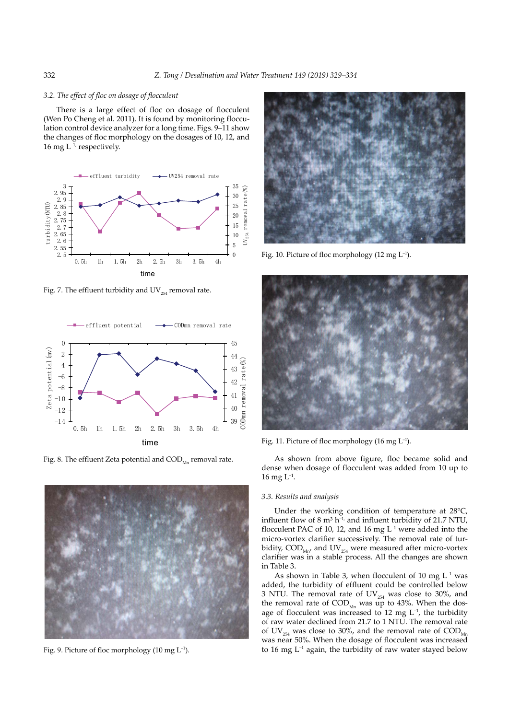## *3.2. The effect of floc on dosage of flocculent*

There is a large effect of floc on dosage of flocculent (Wen Po Cheng et al. 2011). It is found by monitoring flocculation control device analyzer for a long time. Figs. 9–11 show the changes of floc morphology on the dosages of 10, 12, and 16 mg  $L^{-1}$ , respectively.



Fig. 7. The effluent turbidity and  $UV_{254}$  removal rate.



Fig. 8. The effluent Zeta potential and  $\text{COD}_{Mn}$  removal rate.



Fig. 9. Picture of floc morphology (10 mg  $L^{-1}$ ).



Fig. 10. Picture of floc morphology (12 mg  $L^{-1}$ ).



Fig. 11. Picture of floc morphology (16 mg L–1).

As shown from above figure, floc became solid and dense when dosage of flocculent was added from 10 up to  $16$  mg  $L^{-1}$ .

## *3.3. Results and analysis*

Under the working condition of temperature at 28°C, influent flow of 8  $m^3$  h<sup>-1,</sup> and influent turbidity of 21.7 NTU, flocculent PAC of 10, 12, and 16 mg  $L^{-1}$  were added into the micro-vortex clarifier successively. The removal rate of turbidity,  $\text{COD}_{\text{Mn}}$  and  $\text{UV}_{254}$  were measured after micro-vortex clarifier was in a stable process. All the changes are shown in Table 3.

As shown in Table 3, when flocculent of 10 mg  $L^{-1}$  was added, the turbidity of effluent could be controlled below 3 NTU. The removal rate of  $UV_{254}$  was close to 30%, and the removal rate of  $\text{COD}_{Mn}$  was up to 43%. When the dosage of flocculent was increased to 12 mg  $L^{-1}$ , the turbidity of raw water declined from 21.7 to 1 NTU. The removal rate of UV<sub>254</sub> was close to 30%, and the removal rate of  $\text{COD}_{\text{Mn}}$ was near 50%. When the dosage of flocculent was increased to 16 mg  $L^{-1}$  again, the turbidity of raw water stayed below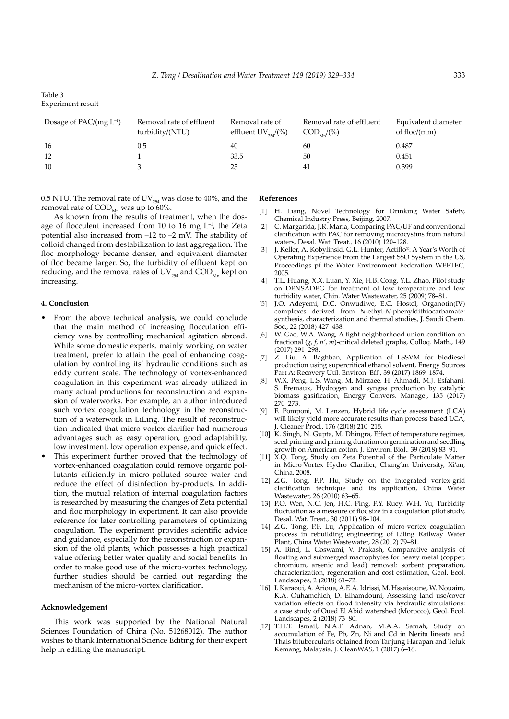| Table 3                  |  |
|--------------------------|--|
| <b>Experiment result</b> |  |

| Dosage of PAC/(mg $L^{-1}$ ) | Removal rate of effluent<br>turbidity/(NTU) | Removal rate of<br>effluent $UV_{254}/(%)$ | Removal rate of effluent<br>$COD_{y}$ (%) | Equivalent diameter<br>of floc/ $(mm)$ |
|------------------------------|---------------------------------------------|--------------------------------------------|-------------------------------------------|----------------------------------------|
| 16                           | 0.5                                         | 40                                         | 60                                        | 0.487                                  |
| -12                          |                                             | 33.5                                       | 50                                        | 0.451                                  |
| 10                           |                                             | 25                                         | 41                                        | 0.399                                  |

0.5 NTU. The removal rate of  $\mathrm{UV}_{254}$  was close to 40%, and the removal rate of  $\text{COD}_{\text{Mn}}$  was up to 60%.

As known from the results of treatment, when the dosage of flocculent increased from 10 to 16 mg  $L^{-1}$ , the Zeta potential also increased from –12 to –2 mV. The stability of colloid changed from destabilization to fast aggregation. The floc morphology became denser, and equivalent diameter of floc became larger. So, the turbidity of effluent kept on reducing, and the removal rates of  $\text{UV}_\text{254}$  and  $\text{COD}_\text{\tiny{Mn}}$  kept on

#### **References**

- [1] H. Liang, Novel Technology for Drinking Water Safety, Chemical Industry Press, Beijing, 2007.
- [2] C. Margarida, J.R. Maria, Comparing PAC/UF and conventional clarification with PAC for removing microcystins from natural waters, Desal. Wat. Treat., 16 (2010) 120–128.
- [3] J. Keller, A. Kobylinski, G.L. Hunter, Actiflo®: A Year's Worth of Operating Experience From the Largest SSO System in the US, Proceedings pf the Water Environment Federation WEFTEC, 2005.
- [4] T.L. Huang, X.X. Luan, Y. Xie, H.B. Cong, Y.L. Zhao, Pilot study on DENSADEG for treatment of low temperature and low turbidity water, Chin. Water Wastewater, 25 (2009) 78–81.
- J.O. Adeyemi, D.C. Onwudiwe, E.C. Hostel, Organotin(IV) complexes derived from *N*-ethyl-*N*-phenyldithiocarbamate: synthesis, characterization and thermal studies, J. Saudi Chem. Soc., 22 (2018) 427–438.
- [6] W. Gao, W.A. Wang, A tight neighborhood union condition on fractional (*g*, *f*, *n'*, *m*)-critical deleted graphs, Colloq. Math., 149 (2017) 291–298.
- [7]  $\angle$  Z. Liu, A. Baghban, Application of LSSVM for biodiesel production using supercritical ethanol solvent, Energy Sources Part A: Recovery Util. Environ. Eff., 39 (2017) 1869–1874.
- [8] W.X. Peng, L.S. Wang, M. Mirzaee, H. Ahmadi, M.J. Esfahani, S. Fremaux, Hydrogen and syngas production by catalytic biomass gasification, Energy Convers. Manage., 135 (2017) 270–273.
- [9] F. Pomponi, M. Lenzen, Hybrid life cycle assessment (LCA) will likely yield more accurate results than process-based LCA, J. Cleaner Prod., 176 (2018) 210–215.
- [10] K. Singh, N. Gupta, M. Dhingra, Effect of temperature regimes, seed priming and priming duration on germination and seedling growth on American cotton, J. Environ. Biol., 39 (2018) 83–91.
- [11] X.Q. Tong, Study on Zeta Potential of the Particulate Matter in Micro-Vortex Hydro Clarifier, Chang'an University, Xi'an, China, 2008.
- [12] Z.G. Tong, F.P. Hu, Study on the integrated vortex-grid clarification technique and its application, China Water Wastewater, 26 (2010) 63–65.
- [13] P.O. Wen, N.C. Jen, H.C. Ping, F.Y. Ruey, W.H. Yu, Turbidity fluctuation as a measure of floc size in a coagulation pilot study, Desal. Wat. Treat., 30 (2011) 98–104.
- [14] Z.G. Tong, P.P. Lu, Application of micro-vortex coagulation process in rebuilding engineering of Liling Railway Water Plant, China Water Wastewater, 28 (2012) 79–81.
- [15] A. Bind, L. Goswami, V. Prakash, Comparative analysis of floating and submerged macrophytes for heavy metal (copper, chromium, arsenic and lead) removal: sorbent preparation, characterization, regeneration and cost estimation, Geol. Ecol. Landscapes, 2 (2018) 61–72.
- [16] I. Karaoui, A. Arioua, A.E.A. Idrissi, M. Hssaisoune, W. Nouaim, K.A. Ouhamchich, D. Elhamdouni, Assessing land use/cover variation effects on flood intensity via hydraulic simulations: a case study of Oued El Abid watershed (Morocco), Geol. Ecol. Landscapes, 2 (2018) 73–80.
- [17] T.H.T. Ismail, N.A.F. Adnan, M.A.A. Samah, Study on accumulation of Fe, Pb, Zn, Ni and Cd in Nerita lineata and Thais bitubercularis obtained from Tanjung Harapan and Teluk Kemang, Malaysia, J. CleanWAS, 1 (2017) 6–16.

# **4. Conclusion**

increasing.

- From the above technical analysis, we could conclude that the main method of increasing flocculation efficiency was by controlling mechanical agitation abroad. While some domestic experts, mainly working on water treatment, prefer to attain the goal of enhancing coagulation by controlling its' hydraulic conditions such as eddy current scale. The technology of vortex-enhanced coagulation in this experiment was already utilized in many actual productions for reconstruction and expansion of waterworks. For example, an author introduced such vortex coagulation technology in the reconstruction of a waterwork in LiLing. The result of reconstruction indicated that micro-vortex clarifier had numerous advantages such as easy operation, good adaptability, low investment, low operation expense, and quick effect.
- This experiment further proved that the technology of vortex-enhanced coagulation could remove organic pollutants efficiently in micro-polluted source water and reduce the effect of disinfection by-products. In addition, the mutual relation of internal coagulation factors is researched by measuring the changes of Zeta potential and floc morphology in experiment. It can also provide reference for later controlling parameters of optimizing coagulation. The experiment provides scientific advice and guidance, especially for the reconstruction or expansion of the old plants, which possesses a high practical value offering better water quality and social benefits. In order to make good use of the micro-vortex technology, further studies should be carried out regarding the mechanism of the micro-vortex clarification.

#### **Acknowledgement**

This work was supported by the National Natural Sciences Foundation of China (No. 51268012). The author wishes to thank International Science Editing for their expert help in editing the manuscript.